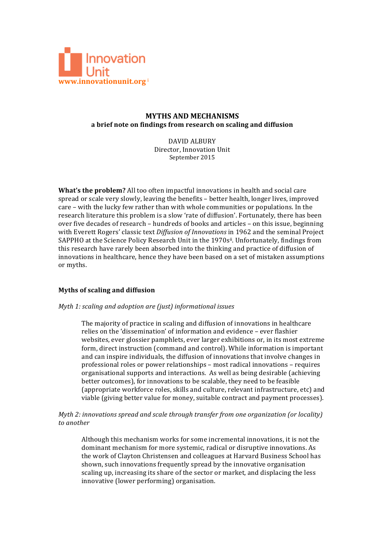

# **MYTHS AND MECHANISMS a brief note on findings from research on scaling and diffusion**

DAVID ALBURY Director, Innovation Unit September 2015

**What's the problem?** All too often impactful innovations in health and social care spread or scale very slowly, leaving the benefits - better health, longer lives, improved care - with the lucky few rather than with whole communities or populations. In the research literature this problem is a slow 'rate of diffusion'. Fortunately, there has been over five decades of research – hundreds of books and articles – on this issue, beginning with Everett Rogers' classic text *Diffusion of Innovations* in 1962 and the seminal Project SAPPHO at the Science Policy Research Unit in the 1970sii. Unfortunately, findings from this research have rarely been absorbed into the thinking and practice of diffusion of innovations in healthcare, hence they have been based on a set of mistaken assumptions or myths.

#### **Myths of scaling and diffusion**

#### *Myth 1: scaling and adoption are (just) informational issues*

The majority of practice in scaling and diffusion of innovations in healthcare relies on the 'dissemination' of information and evidence - ever flashier websites, ever glossier pamphlets, ever larger exhibitions or, in its most extreme form, direct instruction (command and control). While information is important and can inspire individuals, the diffusion of innovations that involve changes in professional roles or power relationships – most radical innovations – requires organisational supports and interactions. As well as being desirable (achieving better outcomes), for innovations to be scalable, they need to be feasible (appropriate workforce roles, skills and culture, relevant infrastructure, etc) and viable (giving better value for money, suitable contract and payment processes).

## *Myth 2: innovations spread and scale through transfer from one organization (or locality) to another*

Although this mechanism works for some incremental innovations, it is not the dominant mechanism for more systemic, radical or disruptive innovations. As the work of Clayton Christensen and colleagues at Harvard Business School has shown, such innovations frequently spread by the innovative organisation scaling up, increasing its share of the sector or market, and displacing the less innovative (lower performing) organisation.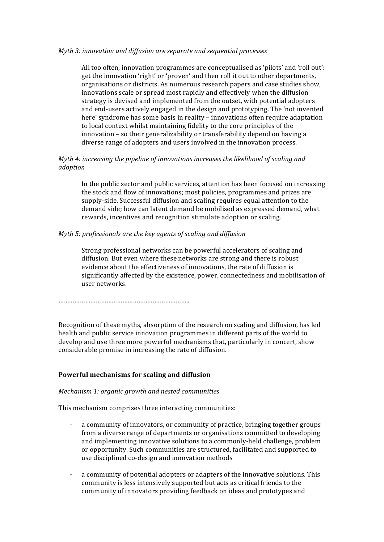#### *Myth 3: innovation and diffusion are separate and sequential processes*

All too often, innovation programmes are conceptualised as 'pilots' and 'roll out': get the innovation 'right' or 'proven' and then roll it out to other departments, organisations or districts. As numerous research papers and case studies show, innovations scale or spread most rapidly and effectively when the diffusion strategy is devised and implemented from the outset, with potential adopters and end-users actively engaged in the design and prototyping. The 'not invented here' syndrome has some basis in reality – innovations often require adaptation to local context whilst maintaining fidelity to the core principles of the innovation - so their generalizability or transferability depend on having a diverse range of adopters and users involved in the innovation process.

### *Myth 4: increasing the pipeline of innovations increases the likelihood of scaling and adoption*

In the public sector and public services, attention has been focused on increasing the stock and flow of innovations; most policies, programmes and prizes are supply-side. Successful diffusion and scaling requires equal attention to the demand side; how can latent demand be mobilised as expressed demand, what rewards, incentives and recognition stimulate adoption or scaling.

#### *Myth* 5: professionals are the key agents of scaling and diffusion

Strong professional networks can be powerful accelerators of scaling and diffusion. But even where these networks are strong and there is robust evidence about the effectiveness of innovations, the rate of diffusion is significantly affected by the existence, power, connectedness and mobilisation of user networks.

………………………………………………………………..

Recognition of these myths, absorption of the research on scaling and diffusion, has led health and public service innovation programmes in different parts of the world to develop and use three more powerful mechanisms that, particularly in concert, show considerable promise in increasing the rate of diffusion.

#### Powerful mechanisms for scaling and diffusion

#### *Mechanism 1: organic growth and nested communities*

This mechanism comprises three interacting communities:

- a community of innovators, or community of practice, bringing together groups from a diverse range of departments or organisations committed to developing and implementing innovative solutions to a commonly-held challenge, problem or opportunity. Such communities are structured, facilitated and supported to use disciplined co-design and innovation methods
- a community of potential adopters or adapters of the innovative solutions. This community is less intensively supported but acts as critical friends to the community of innovators providing feedback on ideas and prototypes and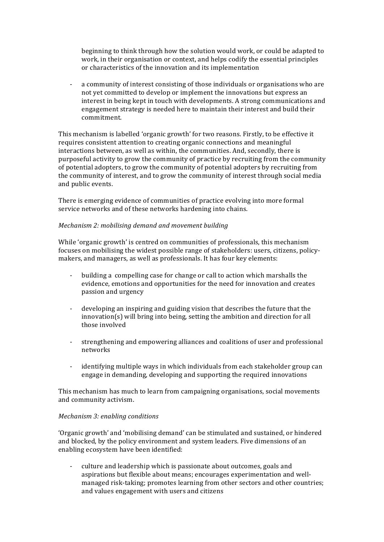beginning to think through how the solution would work, or could be adapted to work, in their organisation or context, and helps codify the essential principles or characteristics of the innovation and its implementation

- a community of interest consisting of those individuals or organisations who are not yet committed to develop or implement the innovations but express an interest in being kept in touch with developments. A strong communications and engagement strategy is needed here to maintain their interest and build their commitment.

This mechanism is labelled 'organic growth' for two reasons. Firstly, to be effective it requires consistent attention to creating organic connections and meaningful interactions between, as well as within, the communities. And, secondly, there is purposeful activity to grow the community of practice by recruiting from the community of potential adopters, to grow the community of potential adopters by recruiting from the community of interest, and to grow the community of interest through social media and public events.

There is emerging evidence of communities of practice evolving into more formal service networks and of these networks hardening into chains.

#### *Mechanism 2: mobilising demand and movement building*

While 'organic growth' is centred on communities of professionals, this mechanism focuses on mobilising the widest possible range of stakeholders: users, citizens, policymakers, and managers, as well as professionals. It has four key elements:

- building a compelling case for change or call to action which marshalls the evidence, emotions and opportunities for the need for innovation and creates passion and urgency
- developing an inspiring and guiding vision that describes the future that the  $innovation(s)$  will bring into being, setting the ambition and direction for all those involved
- strengthening and empowering alliances and coalitions of user and professional networks
- identifying multiple ways in which individuals from each stakeholder group can engage in demanding, developing and supporting the required innovations

This mechanism has much to learn from campaigning organisations, social movements and community activism.

#### *Mechanism 3: enabling conditions*

'Organic growth' and 'mobilising demand' can be stimulated and sustained, or hindered and blocked, by the policy environment and system leaders. Five dimensions of an enabling ecosystem have been identified:

- culture and leadership which is passionate about outcomes, goals and aspirations but flexible about means; encourages experimentation and wellmanaged risk-taking; promotes learning from other sectors and other countries; and values engagement with users and citizens